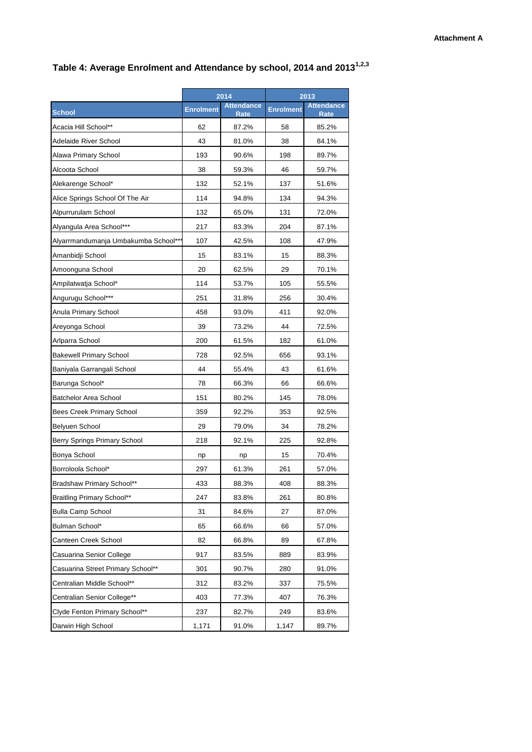## **Table 4: Average Enrolment and Attendance by school, 2014 and 20131,2,3**

|                                      | 2014             |                                  | 2013             |                           |
|--------------------------------------|------------------|----------------------------------|------------------|---------------------------|
| <b>School</b>                        | <b>Enrolment</b> | <b>Attendance</b><br><b>Rate</b> | <b>Enrolment</b> | <b>Attendance</b><br>Rate |
| Acacia Hill School**                 | 62               | 87.2%                            | 58               | 85.2%                     |
| Adelaide River School                | 43               | 81.0%                            | 38               | 84.1%                     |
| Alawa Primary School                 | 193              | 90.6%                            | 198              | 89.7%                     |
| Alcoota School                       | 38               | 59.3%                            | 46               | 59.7%                     |
| Alekarenge School*                   | 132              | 52.1%                            | 137              | 51.6%                     |
| Alice Springs School Of The Air      | 114              | 94.8%                            | 134              | 94.3%                     |
| Alpurrurulam School                  | 132              | 65.0%                            | 131              | 72.0%                     |
| Alyangula Area School***             | 217              | 83.3%                            | 204              | 87.1%                     |
| Alyarrmandumanja Umbakumba School*** | 107              | 42.5%                            | 108              | 47.9%                     |
| Amanbidji School                     | 15               | 83.1%                            | 15               | 88.3%                     |
| Amoonguna School                     | 20               | 62.5%                            | 29               | 70.1%                     |
| Ampilatwatja School*                 | 114              | 53.7%                            | 105              | 55.5%                     |
| Angurugu School***                   | 251              | 31.8%                            | 256              | 30.4%                     |
| Anula Primary School                 | 458              | 93.0%                            | 411              | 92.0%                     |
| Areyonga School                      | 39               | 73.2%                            | 44               | 72.5%                     |
| Arlparra School                      | 200              | 61.5%                            | 182              | 61.0%                     |
| <b>Bakewell Primary School</b>       | 728              | 92.5%                            | 656              | 93.1%                     |
| Baniyala Garrangali School           | 44               | 55.4%                            | 43               | 61.6%                     |
| Barunga School*                      | 78               | 66.3%                            | 66               | 66.6%                     |
| Batchelor Area School                | 151              | 80.2%                            | 145              | 78.0%                     |
| Bees Creek Primary School            | 359              | 92.2%                            | 353              | 92.5%                     |
| Belyuen School                       | 29               | 79.0%                            | 34               | 78.2%                     |
| Berry Springs Primary School         | 218              | 92.1%                            | 225              | 92.8%                     |
| Bonya School                         | np               | np                               | 15               | 70.4%                     |
| Borroloola School*                   | 297              | 61.3%                            | 261              | 57.0%                     |
| Bradshaw Primary School**            | 433              | 88.3%                            | 408              | 88.3%                     |
| <b>Braitling Primary School**</b>    | 247              | 83.8%                            | 261              | 80.8%                     |
| <b>Bulla Camp School</b>             | 31               | 84.6%                            | 27               | 87.0%                     |
| Bulman School*                       | 65               | 66.6%                            | 66               | 57.0%                     |
| Canteen Creek School                 | 82               | 66.8%                            | 89               | 67.8%                     |
| Casuarina Senior College             | 917              | 83.5%                            | 889              | 83.9%                     |
| Casuarina Street Primary School**    | 301              | 90.7%                            | 280              | 91.0%                     |
| Centralian Middle School**           | 312              | 83.2%                            | 337              | 75.5%                     |
| Centralian Senior College**          | 403              | 77.3%                            | 407              | 76.3%                     |
| Clyde Fenton Primary School**        | 237              | 82.7%                            | 249              | 83.6%                     |
| Darwin High School                   | 1,171            | 91.0%                            | 1,147            | 89.7%                     |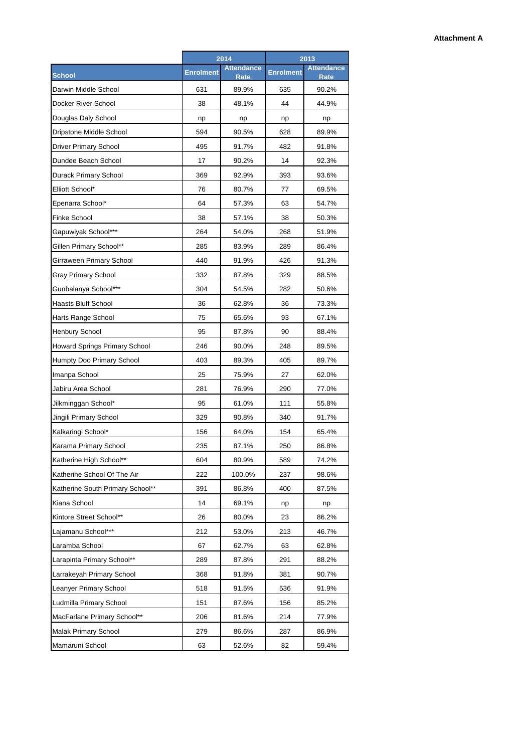|                                  | 2014             |                           | 2013             |                                  |
|----------------------------------|------------------|---------------------------|------------------|----------------------------------|
| <b>School</b>                    | <b>Enrolment</b> | <b>Attendance</b><br>Rate | <b>Enrolment</b> | <b>Attendance</b><br><b>Rate</b> |
| Darwin Middle School             | 631              | 89.9%                     | 635              | 90.2%                            |
| Docker River School              | 38               | 48.1%                     | 44               | 44.9%                            |
| Douglas Daly School              | np               | np                        | np               | np                               |
| Dripstone Middle School          | 594              | 90.5%                     | 628              | 89.9%                            |
| <b>Driver Primary School</b>     | 495              | 91.7%                     | 482              | 91.8%                            |
| Dundee Beach School              | 17               | 90.2%                     | 14               | 92.3%                            |
| Durack Primary School            | 369              | 92.9%                     | 393              | 93.6%                            |
| Elliott School*                  | 76               | 80.7%                     | 77               | 69.5%                            |
| Epenarra School*                 | 64               | 57.3%                     | 63               | 54.7%                            |
| Finke School                     | 38               | 57.1%                     | 38               | 50.3%                            |
| Gapuwiyak School***              | 264              | 54.0%                     | 268              | 51.9%                            |
| Gillen Primary School**          | 285              | 83.9%                     | 289              | 86.4%                            |
| Girraween Primary School         | 440              | 91.9%                     | 426              | 91.3%                            |
| Gray Primary School              | 332              | 87.8%                     | 329              | 88.5%                            |
| Gunbalanya School***             | 304              | 54.5%                     | 282              | 50.6%                            |
| Haasts Bluff School              | 36               | 62.8%                     | 36               | 73.3%                            |
| Harts Range School               | 75               | 65.6%                     | 93               | 67.1%                            |
| <b>Henbury School</b>            | 95               | 87.8%                     | 90               | 88.4%                            |
| Howard Springs Primary School    | 246              | 90.0%                     | 248              | 89.5%                            |
| Humpty Doo Primary School        | 403              | 89.3%                     | 405              | 89.7%                            |
| Imanpa School                    | 25               | 75.9%                     | 27               | 62.0%                            |
| Jabiru Area School               | 281              | 76.9%                     | 290              | 77.0%                            |
| Jilkminggan School*              | 95               | 61.0%                     | 111              | 55.8%                            |
| Jingili Primary School           | 329              | 90.8%                     | 340              | 91.7%                            |
| Kalkaringi School*               | 156              | 64.0%                     | 154              | 65.4%                            |
| Karama Primary School            | 235              | 87.1%                     | 250              | 86.8%                            |
| Katherine High School**          | 604              | 80.9%                     | 589              | 74.2%                            |
| Katherine School Of The Air      | 222              | 100.0%                    | 237              | 98.6%                            |
| Katherine South Primary School** | 391              | 86.8%                     | 400              | 87.5%                            |
| Kiana School                     | 14               | 69.1%                     | np               | np                               |
| Kintore Street School**          | 26               | 80.0%                     | 23               | 86.2%                            |
| Lajamanu School***               | 212              | 53.0%                     | 213              | 46.7%                            |
| Laramba School                   | 67               | 62.7%                     | 63               | 62.8%                            |
| Larapinta Primary School**       | 289              | 87.8%                     | 291              | 88.2%                            |
| Larrakeyah Primary School        | 368              | 91.8%                     | 381              | 90.7%                            |
| Leanyer Primary School           | 518              | 91.5%                     | 536              | 91.9%                            |
| Ludmilla Primary School          | 151              | 87.6%                     | 156              | 85.2%                            |
| MacFarlane Primary School**      | 206              | 81.6%                     | 214              | 77.9%                            |
| Malak Primary School             | 279              | 86.6%                     | 287              | 86.9%                            |
| Mamaruni School                  | 63               | 52.6%                     | 82               | 59.4%                            |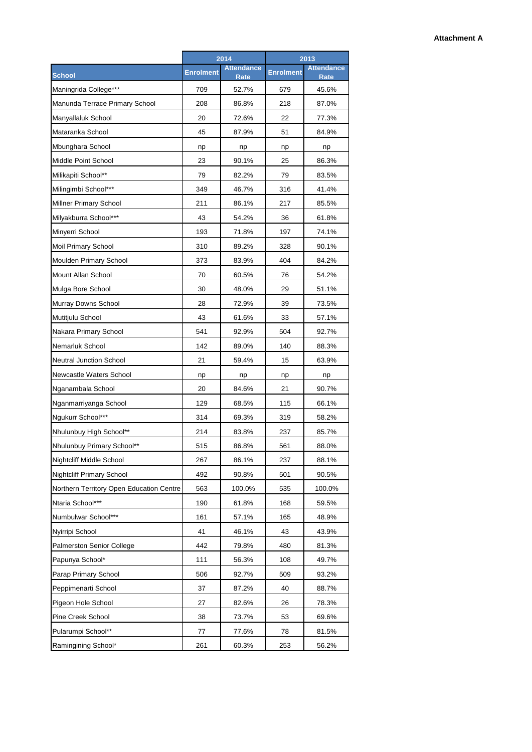|                                          | 2014             |                                  | 2013             |                           |
|------------------------------------------|------------------|----------------------------------|------------------|---------------------------|
| <b>School</b>                            | <b>Enrolment</b> | <b>Attendance</b><br><b>Rate</b> | <b>Enrolment</b> | <b>Attendance</b><br>Rate |
| Maningrida College***                    | 709              | 52.7%                            | 679              | 45.6%                     |
| Manunda Terrace Primary School           | 208              | 86.8%                            | 218              | 87.0%                     |
| Manyallaluk School                       | 20               | 72.6%                            | 22               | 77.3%                     |
| Mataranka School                         | 45               | 87.9%                            | 51               | 84.9%                     |
| Mbunghara School                         | np               | np                               | np               | np                        |
| Middle Point School                      | 23               | 90.1%                            | 25               | 86.3%                     |
| Milikapiti School**                      | 79               | 82.2%                            | 79               | 83.5%                     |
| Milingimbi School***                     | 349              | 46.7%                            | 316              | 41.4%                     |
| Millner Primary School                   | 211              | 86.1%                            | 217              | 85.5%                     |
| Milyakburra School***                    | 43               | 54.2%                            | 36               | 61.8%                     |
| Minyerri School                          | 193              | 71.8%                            | 197              | 74.1%                     |
| Moil Primary School                      | 310              | 89.2%                            | 328              | 90.1%                     |
| Moulden Primary School                   | 373              | 83.9%                            | 404              | 84.2%                     |
| Mount Allan School                       | 70               | 60.5%                            | 76               | 54.2%                     |
| Mulga Bore School                        | 30               | 48.0%                            | 29               | 51.1%                     |
| Murray Downs School                      | 28               | 72.9%                            | 39               | 73.5%                     |
| Mutitjulu School                         | 43               | 61.6%                            | 33               | 57.1%                     |
| Nakara Primary School                    | 541              | 92.9%                            | 504              | 92.7%                     |
| Nemarluk School                          | 142              | 89.0%                            | 140              | 88.3%                     |
| <b>Neutral Junction School</b>           | 21               | 59.4%                            | 15               | 63.9%                     |
| Newcastle Waters School                  | np               | np                               | np               | np                        |
| Nganambala School                        | 20               | 84.6%                            | 21               | 90.7%                     |
| Nganmarriyanga School                    | 129              | 68.5%                            | 115              | 66.1%                     |
| Ngukurr School***                        | 314              | 69.3%                            | 319              | 58.2%                     |
| Nhulunbuy High School**                  | 214              | 83.8%                            | 237              | 85.7%                     |
| Nhulunbuy Primary School**               | 515              | 86.8%                            | 561              | 88.0%                     |
| Nightcliff Middle School                 | 267              | 86.1%                            | 237              | 88.1%                     |
| <b>Nightcliff Primary School</b>         | 492              | 90.8%                            | 501              | 90.5%                     |
| Northern Territory Open Education Centre | 563              | 100.0%                           | 535              | 100.0%                    |
| Ntaria School***                         | 190              | 61.8%                            | 168              | 59.5%                     |
| Numbulwar School***                      | 161              | 57.1%                            | 165              | 48.9%                     |
| Nyirripi School                          | 41               | 46.1%                            | 43               | 43.9%                     |
| Palmerston Senior College                | 442              | 79.8%                            | 480              | 81.3%                     |
| Papunya School*                          | 111              | 56.3%                            | 108              | 49.7%                     |
| Parap Primary School                     | 506              | 92.7%                            | 509              | 93.2%                     |
| Peppimenarti School                      | 37               | 87.2%                            | 40               | 88.7%                     |
| Pigeon Hole School                       | 27               | 82.6%                            | 26               | 78.3%                     |
| Pine Creek School                        | 38               | 73.7%                            | 53               | 69.6%                     |
| Pularumpi School**                       | 77               | 77.6%                            | 78               | 81.5%                     |
| Ramingining School*                      | 261              | 60.3%                            | 253              | 56.2%                     |